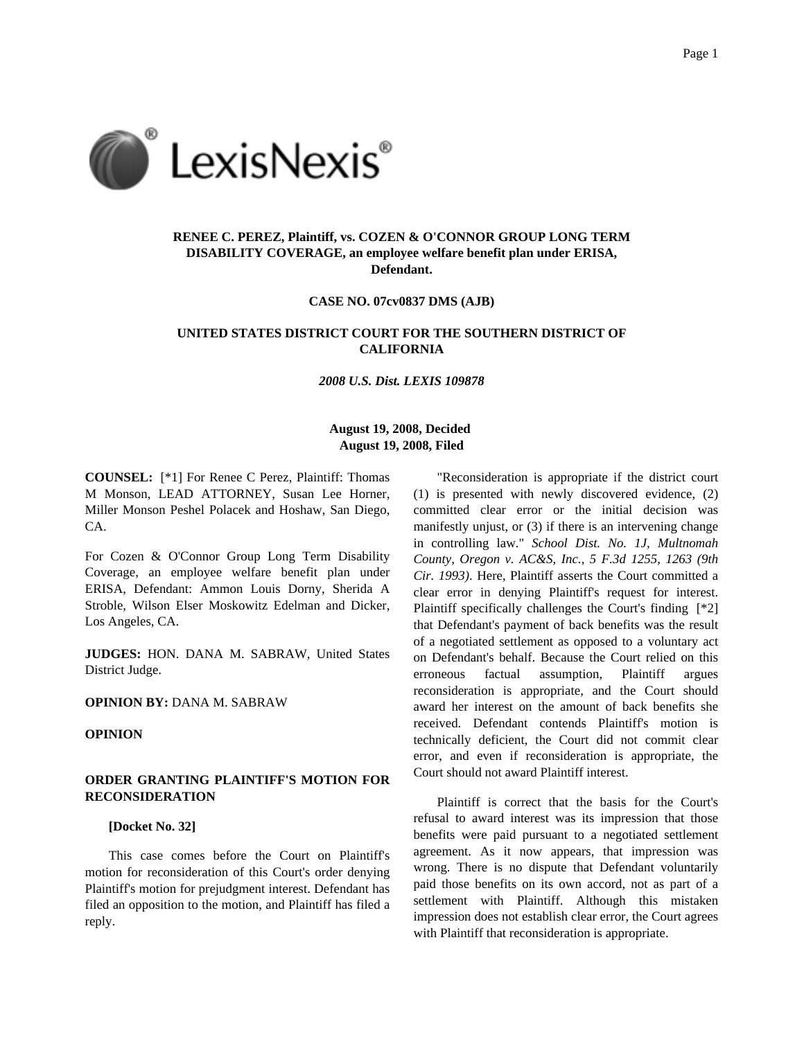

# **RENEE C. PEREZ, Plaintiff, vs. COZEN & O'CONNOR GROUP LONG TERM DISABILITY COVERAGE, an employee welfare benefit plan under ERISA, Defendant.**

**CASE NO. 07cv0837 DMS (AJB)**

# **UNITED STATES DISTRICT COURT FOR THE SOUTHERN DISTRICT OF CALIFORNIA**

*2008 U.S. Dist. LEXIS 109878*

# **August 19, 2008, Decided August 19, 2008, Filed**

**COUNSEL:** [\*1] For Renee C Perez, Plaintiff: Thomas M Monson, LEAD ATTORNEY, Susan Lee Horner, Miller Monson Peshel Polacek and Hoshaw, San Diego, CA.

For Cozen & O'Connor Group Long Term Disability Coverage, an employee welfare benefit plan under ERISA, Defendant: Ammon Louis Dorny, Sherida A Stroble, Wilson Elser Moskowitz Edelman and Dicker, Los Angeles, CA.

**JUDGES:** HON. DANA M. SABRAW, United States District Judge.

## **OPINION BY:** DANA M. SABRAW

## **OPINION**

# **ORDER GRANTING PLAINTIFF'S MOTION FOR RECONSIDERATION**

#### **[Docket No. 32]**

This case comes before the Court on Plaintiff's motion for reconsideration of this Court's order denying Plaintiff's motion for prejudgment interest. Defendant has filed an opposition to the motion, and Plaintiff has filed a reply.

"Reconsideration is appropriate if the district court (1) is presented with newly discovered evidence, (2) committed clear error or the initial decision was manifestly unjust, or (3) if there is an intervening change in controlling law." *School Dist. No. 1J, Multnomah County, Oregon v. AC&S, Inc., 5 F.3d 1255, 1263 (9th Cir. 1993)*. Here, Plaintiff asserts the Court committed a clear error in denying Plaintiff's request for interest. Plaintiff specifically challenges the Court's finding [\*2] that Defendant's payment of back benefits was the result of a negotiated settlement as opposed to a voluntary act on Defendant's behalf. Because the Court relied on this erroneous factual assumption, Plaintiff argues reconsideration is appropriate, and the Court should award her interest on the amount of back benefits she received. Defendant contends Plaintiff's motion is technically deficient, the Court did not commit clear error, and even if reconsideration is appropriate, the Court should not award Plaintiff interest.

Plaintiff is correct that the basis for the Court's refusal to award interest was its impression that those benefits were paid pursuant to a negotiated settlement agreement. As it now appears, that impression was wrong. There is no dispute that Defendant voluntarily paid those benefits on its own accord, not as part of a settlement with Plaintiff. Although this mistaken impression does not establish clear error, the Court agrees with Plaintiff that reconsideration is appropriate.